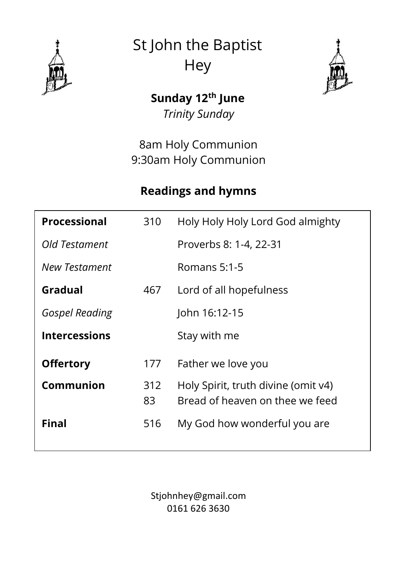

St John the Baptist **Hey** 



# **Sunday 12th June**

*Trinity Sunday*

8am Holy Communion 9:30am Holy Communion

## **Readings and hymns**

| Processional          | 310       | Holy Holy Holy Lord God almighty                                       |
|-----------------------|-----------|------------------------------------------------------------------------|
| Old Testament         |           | Proverbs 8: 1-4, 22-31                                                 |
| New Testament         |           | Romans 5:1-5                                                           |
| Gradual               | 467       | Lord of all hopefulness                                                |
| <b>Gospel Reading</b> |           | John 16:12-15                                                          |
| <b>Intercessions</b>  |           | Stay with me                                                           |
| <b>Offertory</b>      | 177       | Father we love you                                                     |
| Communion             | 312<br>83 | Holy Spirit, truth divine (omit v4)<br>Bread of heaven on thee we feed |
| Final                 | 516       | My God how wonderful you are                                           |

Stjohnhey@gmail.com 0161 626 3630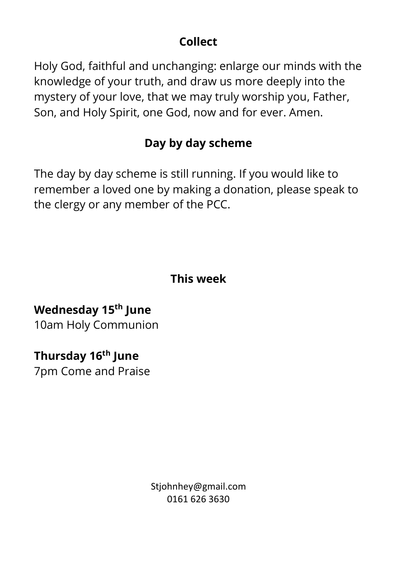#### **Collect**

Holy God, faithful and unchanging: enlarge our minds with the knowledge of your truth, and draw us more deeply into the mystery of your love, that we may truly worship you, Father, Son, and Holy Spirit, one God, now and for ever. Amen.

### **Day by day scheme**

The day by day scheme is still running. If you would like to remember a loved one by making a donation, please speak to the clergy or any member of the PCC.

#### **This week**

# **Wednesday 15th June**

10am Holy Communion

## **Thursday 16th June**

7pm Come and Praise

Stiohnhey@gmail.com 0161 626 3630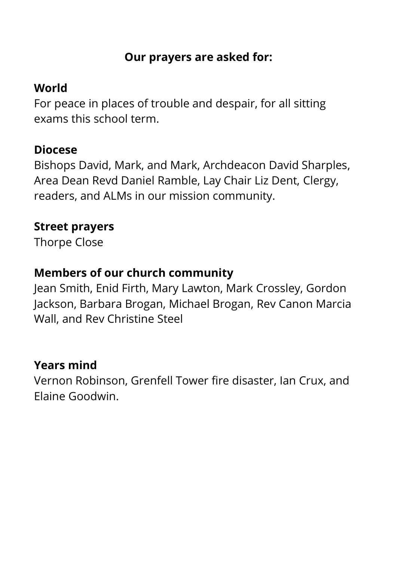#### **Our prayers are asked for:**

### **World**

For peace in places of trouble and despair, for all sitting exams this school term.

#### **Diocese**

Bishops David, Mark, and Mark, Archdeacon David Sharples, Area Dean Revd Daniel Ramble, Lay Chair Liz Dent, Clergy, readers, and ALMs in our mission community.

#### **Street prayers**

Thorpe Close

### **Members of our church community**

Jean Smith, Enid Firth, Mary Lawton, Mark Crossley, Gordon Jackson, Barbara Brogan, Michael Brogan, Rev Canon Marcia Wall, and Rev Christine Steel

#### **Years mind**

Vernon Robinson, Grenfell Tower fire disaster, Ian Crux, and Elaine Goodwin.